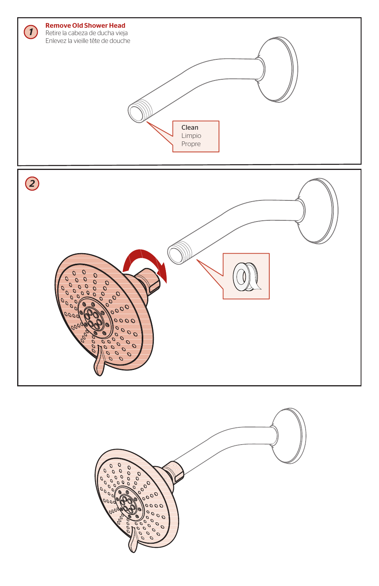